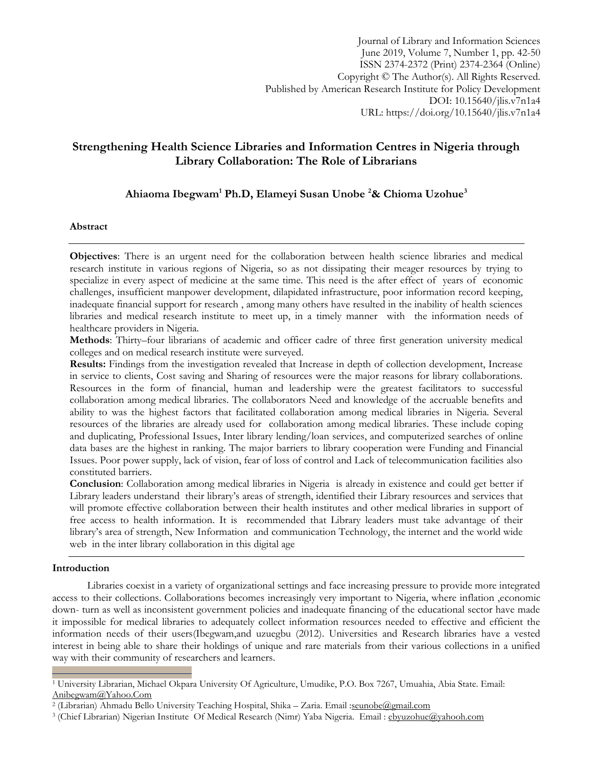Journal of Library and Information Sciences June 2019, Volume 7, Number 1, pp. 42-50 ISSN 2374-2372 (Print) 2374-2364 (Online) Copyright © The Author(s). All Rights Reserved. Published by American Research Institute for Policy Development DOI: 10.15640/jlis.v7n1a4 URL: https://doi.org/10.15640/jlis.v7n1a4

# **Strengthening Health Science Libraries and Information Centres in Nigeria through Library Collaboration: The Role of Librarians**

# **Ahiaoma Ibegwam<sup>1</sup> Ph.D, Elameyi Susan Unobe <sup>2</sup>& Chioma Uzohue<sup>3</sup>**

## **Abstract**

**Objectives**: There is an urgent need for the collaboration between health science libraries and medical research institute in various regions of Nigeria, so as not dissipating their meager resources by trying to specialize in every aspect of medicine at the same time. This need is the after effect of years of economic challenges, insufficient manpower development, dilapidated infrastructure, poor information record keeping, inadequate financial support for research , among many others have resulted in the inability of health sciences libraries and medical research institute to meet up, in a timely manner with the information needs of healthcare providers in Nigeria.

**Methods**: Thirty–four librarians of academic and officer cadre of three first generation university medical colleges and on medical research institute were surveyed.

**Results:** Findings from the investigation revealed that Increase in depth of collection development, Increase in service to clients, Cost saving and Sharing of resources were the major reasons for library collaborations. Resources in the form of financial, human and leadership were the greatest facilitators to successful collaboration among medical libraries. The collaborators Need and knowledge of the accruable benefits and ability to was the highest factors that facilitated collaboration among medical libraries in Nigeria. Several resources of the libraries are already used for collaboration among medical libraries. These include [coping](http://www.mlanet.org/resources/#libpr) and duplicating, [Professional Issues,](http://www.mlanet.org/resources/#prof) Inter library [lending/](http://www.mlanet.org/resources/#salary)loan services, and computerized searches of online data bases are the highest in ranking. The major barriers to library cooperation were Funding and Financial Issues. Poor power supply, lack of vision, fear of loss of control and Lack of telecommunication facilities also constituted barriers.

**Conclusion**: Collaboration among medical libraries in Nigeria is already in existence and could get better if Library leaders understand their library's areas of strength, identified their Library resources and services that will promote effective collaboration between their health institutes and other medical libraries in support of free access to health information. It is recommended that Library leaders must take advantage of their library's area of strength, New Information and communication Technology, the internet and the world wide web in the inter library collaboration in this digital age

#### **Introduction**

l

Libraries coexist in a variety of organizational settings and face increasing pressure to provide more integrated access to their collections. Collaborations becomes increasingly very important to Nigeria, where inflation ,economic down- turn as well as inconsistent government policies and inadequate financing of the educational sector have made it impossible for medical libraries to adequately collect information resources needed to effective and efficient the information needs of their users(Ibegwam,and uzuegbu (2012). Universities and Research libraries have a vested interest in being able to share their holdings of unique and rare materials from their various collections in a unified way with their community of researchers and learners.

<sup>&</sup>lt;sup>1</sup> University Librarian, Michael Okpara University Of Agriculture, Umudike, P.O. Box 7267, Umuahia, Abia State. Email: [Anibegwam@Yahoo.Com](mailto:anibegwam@yahoo.com)

<sup>&</sup>lt;sup>2</sup> (Librarian) Ahmadu Bello University Teaching Hospital, Shika – Zaria. Email :<u>seunobe@gmail.com</u>

<sup>&</sup>lt;sup>3</sup> (Chief Librarian) Nigerian Institute Of Medical Research (Nimr) Yaba Nigeria. Email : [ebyuzohue@yahooh.com](mailto:ebyuzohue@yahooh.com)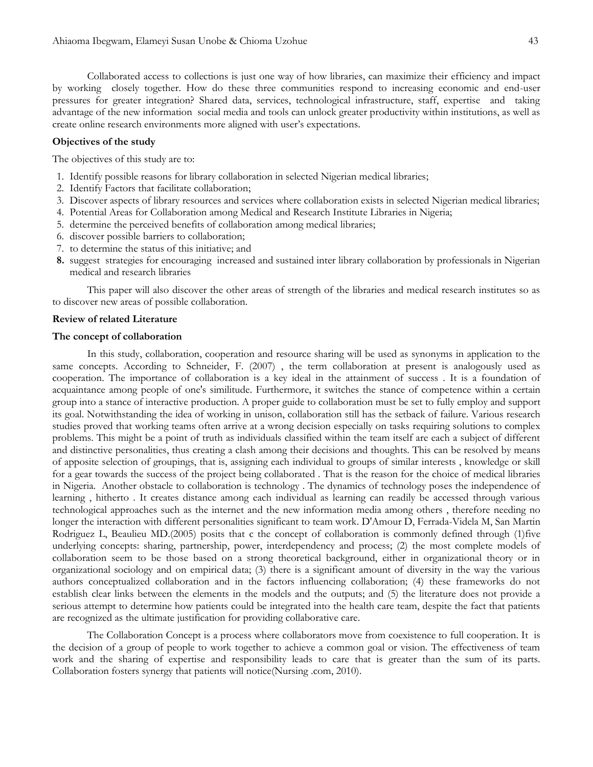Collaborated access to collections is just one way of how libraries, can maximize their efficiency and impact by working closely together. How do these three communities respond to increasing economic and end-user pressures for greater integration? Shared data, services, technological infrastructure, staff, expertise and taking advantage of the new information social media and tools can unlock greater productivity within institutions, as well as create online research environments more aligned with user's expectations.

#### **Objectives of the study**

The objectives of this study are to:

- 1. Identify possible reasons for library collaboration in selected Nigerian medical libraries;
- 2. Identify Factors that facilitate collaboration;
- 3. Discover aspects of library resources and services where collaboration exists in selected Nigerian medical libraries;
- 4. Potential Areas for Collaboration among Medical and Research Institute Libraries in Nigeria;
- 5. determine the perceived benefits of collaboration among medical libraries;
- 6. discover possible barriers to collaboration;
- 7. to determine the status of this initiative; and
- **8.** suggest strategies for encouraging increased and sustained inter library collaboration by professionals in Nigerian medical and research libraries

This paper will also discover the other areas of strength of the libraries and medical research institutes so as to discover new areas of possible collaboration.

### **Review of related Literature**

#### **The concept of collaboration**

In this study, collaboration, cooperation and resource sharing will be used as synonyms in application to the same concepts. According to Schneider, F. (2007), the term collaboration at present is analogously used as cooperation. The importance of collaboration is a key ideal in the attainment of success . It is a foundation of acquaintance among people of one's similitude. Furthermore, it switches the stance of competence within a certain group into a stance of interactive production. A proper guide to collaboration must be set to fully employ and support its goal. Notwithstanding the idea of working in unison, collaboration still has the setback of failure. Various research studies proved that working teams often arrive at a wrong decision especially on tasks requiring solutions to complex problems. This might be a point of truth as individuals classified within the team itself are each a subject of different and distinctive personalities, thus creating a clash among their decisions and thoughts. This can be resolved by means of apposite selection of groupings, that is, assigning each individual to groups of similar interests , knowledge or skill for a gear towards the success of the project being collaborated . That is the reason for the choice of medical libraries in Nigeria. Another obstacle to collaboration is technology . The dynamics of technology poses the independence of learning , hitherto . It creates distance among each individual as learning can readily be accessed through various technological approaches such as the internet and the new information media among others , therefore needing no longer the interaction with different personalities significant to team work. [D'Amour D,](http://www.ncbi.nlm.nih.gov/pubmed?term=D%27Amour%20D%5BAuthor%5D&cauthor=true&cauthor_uid=16096150) [Ferrada-Videla M,](http://www.ncbi.nlm.nih.gov/pubmed?term=Ferrada-Videla%20M%5BAuthor%5D&cauthor=true&cauthor_uid=16096150) [San Martin](http://www.ncbi.nlm.nih.gov/pubmed?term=San%20Martin%20Rodriguez%20L%5BAuthor%5D&cauthor=true&cauthor_uid=16096150)  [Rodriguez L,](http://www.ncbi.nlm.nih.gov/pubmed?term=San%20Martin%20Rodriguez%20L%5BAuthor%5D&cauthor=true&cauthor_uid=16096150) [Beaulieu MD.](http://www.ncbi.nlm.nih.gov/pubmed?term=Beaulieu%20MD%5BAuthor%5D&cauthor=true&cauthor_uid=16096150)(2005) posits that c the concept of collaboration is commonly defined through (1)five underlying concepts: sharing, partnership, power, interdependency and process; (2) the most complete models of collaboration seem to be those based on a strong theoretical background, either in organizational theory or in organizational sociology and on empirical data; (3) there is a significant amount of diversity in the way the various authors conceptualized collaboration and in the factors influencing collaboration; (4) these frameworks do not establish clear links between the elements in the models and the outputs; and (5) the literature does not provide a serious attempt to determine how patients could be integrated into the health care team, despite the fact that patients are recognized as the ultimate justification for providing collaborative care.

The Collaboration Concept is a process where collaborators move from coexistence to full cooperation. It is the decision of a group of people to work together to achieve a common goal or vision. The effectiveness of team work and the sharing of expertise and responsibility leads to care that is greater than the sum of its parts. Collaboration fosters synergy that patients will notice(Nursing .com, 2010).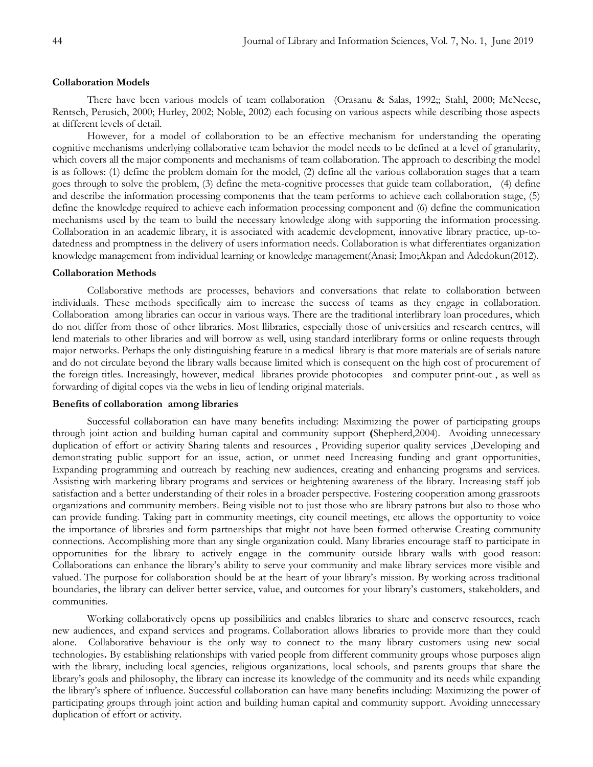#### **Collaboration Models**

There have been various models of team collaboration (Orasanu & Salas, 1992;; Stahl, 2000; McNeese, Rentsch, Perusich, 2000; Hurley, 2002; Noble, 2002) each focusing on various aspects while describing those aspects at different levels of detail.

However, for a model of collaboration to be an effective mechanism for understanding the operating cognitive mechanisms underlying collaborative team behavior the model needs to be defined at a level of granularity, which covers all the major components and mechanisms of team collaboration. The approach to describing the model is as follows: (1) define the problem domain for the model, (2) define all the various collaboration stages that a team goes through to solve the problem, (3) define the meta-cognitive processes that guide team collaboration, (4) define and describe the information processing components that the team performs to achieve each collaboration stage, (5) define the knowledge required to achieve each information processing component and (6) define the communication mechanisms used by the team to build the necessary knowledge along with supporting the information processing. Collaboration in an academic library, it is associated with academic development, innovative library practice, up-todatedness and promptness in the delivery of users information needs. Collaboration is what differentiates organization knowledge management from individual learning or knowledge management(Anasi; Imo;Akpan and Adedokun(2012).

#### **Collaboration Methods**

Collaborative methods are processes, behaviors and conversations that relate to [collaboration](http://en.wikipedia.org/wiki/Collaboration) between individuals. These methods specifically aim to increase the success of [teams](http://en.wikipedia.org/wiki/Team) as they engage in collaboration. [Collaboration](http://en.wikipedia.org/wiki/Collaboration) among libraries can occur in various ways. There are the traditional interlibrary loan procedures, which do not differ from those of other libraries. Most llibraries, especially those of universities and research centres, will lend materials to other libraries and will borrow as well, using standard interlibrary forms or online requests through major networks. Perhaps the only distinguishing feature in a medical library is that more materials are of serials nature and do not circulate beyond the library walls because limited which is consequent on the high cost of procurement of the foreign titles. Increasingly, however, medical libraries provide photocopies and computer print-out , as well as forwarding of digital copes via the webs in lieu of lending original materials.

#### **Benefits of collaboration among libraries**

Successful collaboration can have many benefits including: Maximizing the power of participating groups through joint action and building human capital and community support **(**Shepherd,2004). Avoiding unnecessary duplication of effort or activity Sharing talents and resources , Providing superior quality services ,Developing and demonstrating public support for an issue, action, or unmet need Increasing funding and grant opportunities, Expanding programming and outreach by reaching new audiences, creating and enhancing programs and services. Assisting with marketing library programs and services or heightening awareness of the library. Increasing staff job satisfaction and a better understanding of their roles in a broader perspective. Fostering cooperation among grassroots organizations and community members. Being visible not to just those who are library patrons but also to those who can provide funding. Taking part in community meetings, city council meetings, etc allows the opportunity to voice the importance of libraries and form partnerships that might not have been formed otherwise Creating community connections. Accomplishing more than any single organization could. Many libraries encourage staff to participate in opportunities for the library to actively engage in the community outside library walls with good reason: Collaborations can enhance the library's ability to serve your community and make library services more visible and valued. The purpose for collaboration should be at the heart of your library's mission. By working across traditional boundaries, the library can deliver better service, value, and outcomes for your library's customers, stakeholders, and communities.

Working collaboratively opens up possibilities and enables libraries to share and conserve resources, reach new audiences, and expand services and programs. Collaboration allows libraries to provide more than they could alone.Collaborative behaviour is the only way to connect to the many library customers using new social technologies**.** By establishing relationships with varied people from different community groups whose purposes align with the library, including local agencies, religious organizations, local schools, and parents groups that share the library's goals and philosophy, the library can increase its knowledge of the community and its needs while expanding the library's sphere of influence. Successful collaboration can have many benefits including: Maximizing the power of participating groups through joint action and building human capital and community support. Avoiding unnecessary duplication of effort or activity.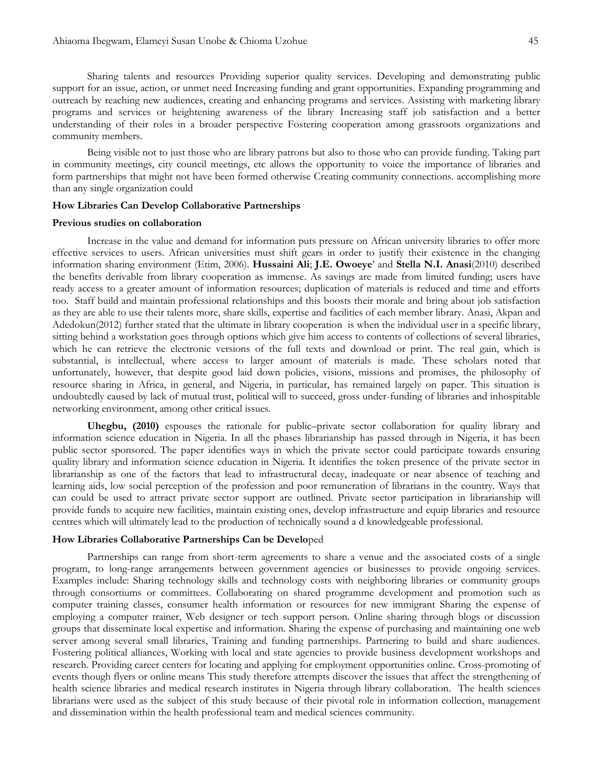Sharing talents and resources Providing superior quality services. Developing and demonstrating public support for an issue, action, or unmet need Increasing funding and grant opportunities. Expanding programming and outreach by reaching new audiences, creating and enhancing programs and services. Assisting with marketing library programs and services or heightening awareness of the library Increasing staff job satisfaction and a better understanding of their roles in a broader perspective Fostering cooperation among grassroots organizations and community members.

Being visible not to just those who are library patrons but also to those who can provide funding. Taking part in community meetings, city council meetings, etc allows the opportunity to voice the importance of libraries and form partnerships that might not have been formed otherwise Creating community connections. accomplishing more than any single organization could

#### **How Libraries Can Develop Collaborative Partnerships**

## **Previous studies on collaboration**

Increase in the value and demand for information puts pressure on African university libraries to offer more effective services to users. African universities must shift gears in order to justify their existence in the changing information sharing environment (Etim, 2006). **[Hussaini Ali](mailto:babanayashe@yahoo.com)**; **[J.E. Owoeye](mailto:owoeyeeddy@yahoo.com)**' and **[Stella N.I. Anasi](mailto:anasistella@yahoo.com)**(2010) described the benefits derivable from library cooperation as immense. As savings are made from limited funding; users have ready access to a greater amount of information resources; duplication of materials is reduced and time and efforts too. Staff build and maintain professional relationships and this boosts their morale and bring about job satisfaction as they are able to use their talents more, share skills, expertise and facilities of each member library. Anasi, Akpan and Adedokun(2012) further stated that the ultimate in library cooperation is when the individual user in a specific library, sitting behind a workstation goes through options which give him access to contents of collections of several libraries, which he can retrieve the electronic versions of the full texts and download or print. The real gain, which is substantial, is intellectual, where access to larger amount of materials is made. These scholars noted that unfortunately, however, that despite good laid down policies, visions, missions and promises, the philosophy of resource sharing in Africa, in general, and Nigeria, in particular, has remained largely on paper. This situation is undoubtedly caused by lack of mutual trust, political will to succeed, gross under-funding of libraries and inhospitable networking environment, among other critical issues.

**Uhegbu, (2010)** espouses the rationale for public–private sector collaboration for quality library and information science education in Nigeria. In all the phases librarianship has passed through in Nigeria, it has been public sector sponsored. The paper identifies ways in which the private sector could participate towards ensuring quality library and information science education in Nigeria. It identifies the token presence of the private sector in librarianship as one of the factors that lead to infrastructural decay, inadequate or near absence of teaching and learning aids, low social perception of the profession and poor remuneration of librarians in the country. Ways that can could be used to attract private sector support are outlined. Private sector participation in librarianship will provide funds to acquire new facilities, maintain existing ones, develop infrastructure and equip libraries and resource centres which will ultimately lead to the production of technically sound a d knowledgeable professional.

#### **How Libraries Collaborative Partnerships Can be Develo**ped

Partnerships can range from short-term agreements to share a venue and the associated costs of a single program, to long-range arrangements between government agencies or businesses to provide ongoing services. Examples include: Sharing technology skills and technology costs with neighboring libraries or community groups through consortiums or committees. Collaborating on shared programme development and promotion such as computer training classes, consumer health information or resources for new immigrant Sharing the expense of employing a computer trainer, Web designer or tech support person. Online sharing through blogs or discussion groups that disseminate local expertise and information. Sharing the expense of purchasing and maintaining one web server among several small libraries, Training and funding partnerships. Partnering to build and share audiences. Fostering political alliances, Working with local and state agencies to provide business development workshops and research. Providing career centers for locating and applying for employment opportunities online. Cross-promoting of events though flyers or online means This study therefore attempts discover the issues that affect the strengthening of health science libraries and medical research institutes in Nigeria through library collaboration. The health sciences librarians were used as the subject of this study because of their pivotal role in information collection, management and dissemination within the health professional team and medical sciences community.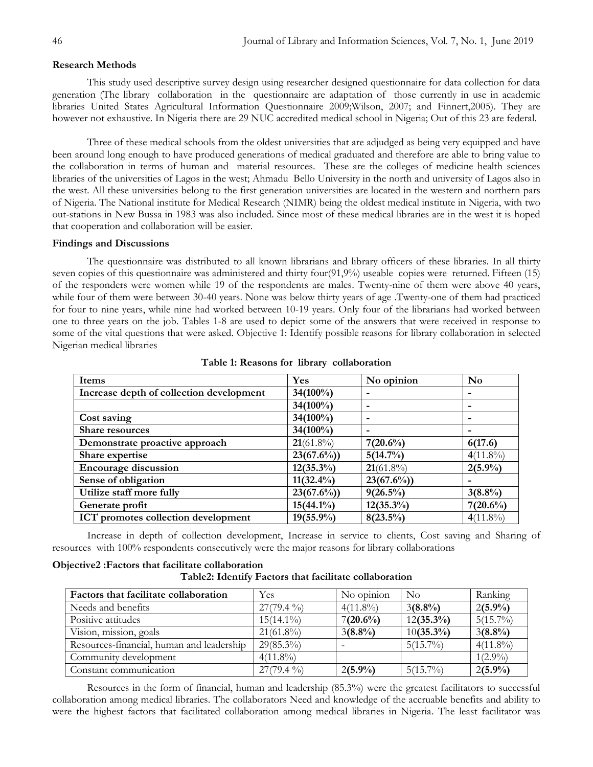## **Research Methods**

This study used descriptive survey design using researcher designed questionnaire for data collection for data generation (The library collaboration in the questionnaire are adaptation of those currently in use in academic libraries United States Agricultural Information Questionnaire 2009;Wilson, 2007; and Finnert,2005). They are however not exhaustive. In Nigeria there are 29 NUC accredited medical school in Nigeria; Out of this 23 are federal.

Three of these medical schools from the oldest universities that are adjudged as being very equipped and have been around long enough to have produced generations of medical graduated and therefore are able to bring value to the collaboration in terms of human and material resources. These are the colleges of medicine health sciences libraries of the universities of Lagos in the west; Ahmadu Bello University in the north and university of Lagos also in the west. All these universities belong to the first generation universities are located in the western and northern pars of Nigeria. The National institute for Medical Research (NIMR) being the oldest medical institute in Nigeria, with two out-stations in New Bussa in 1983 was also included. Since most of these medical libraries are in the west it is hoped that cooperation and collaboration will be easier.

## **Findings and Discussions**

The questionnaire was distributed to all known librarians and library officers of these libraries. In all thirty seven copies of this questionnaire was administered and thirty four(91,9%) useable copies were returned. Fifteen (15) of the responders were women while 19 of the respondents are males. Twenty-nine of them were above 40 years, while four of them were between 30-40 years. None was below thirty years of age .Twenty-one of them had practiced for four to nine years, while nine had worked between 10-19 years. Only four of the librarians had worked between one to three years on the job. Tables 1-8 are used to depict some of the answers that were received in response to some of the vital questions that were asked. Objective 1: Identify possible reasons for library collaboration in selected Nigerian medical libraries

| Items                                    | <b>Yes</b>   | No opinion   | N <sub>0</sub>           |
|------------------------------------------|--------------|--------------|--------------------------|
| Increase depth of collection development | $34(100\%)$  |              | $\overline{\phantom{0}}$ |
|                                          | $34(100\%)$  | -            | $\overline{\phantom{0}}$ |
| Cost saving                              | $34(100\%)$  | -            | $\overline{\phantom{0}}$ |
| <b>Share resources</b>                   | $34(100\%)$  |              |                          |
| Demonstrate proactive approach           | $21(61.8\%)$ | $7(20.6\%)$  | 6(17.6)                  |
| Share expertise                          | $23(67.6\%)$ | 5(14.7%)     | $4(11.8\%)$              |
| <b>Encourage discussion</b>              | $12(35.3\%)$ | $21(61.8\%)$ | $2(5.9\%)$               |
| Sense of obligation                      | $11(32.4\%)$ | $23(67.6\%)$ |                          |
| Utilize staff more fully                 | $23(67.6\%)$ | $9(26.5\%)$  | $3(8.8\%)$               |
| Generate profit                          | $15(44.1\%)$ | $12(35.3\%)$ | $7(20.6\%)$              |
| ICT promotes collection development      | $19(55.9\%)$ | $8(23.5\%)$  | $4(11.8\%)$              |

#### **Table 1: Reasons for library collaboration**

Increase in depth of collection development, Increase in service to clients, Cost saving and Sharing of resources with 100% respondents consecutively were the major reasons for library collaborations

# **Objective2 :Factors that facilitate collaboration**

| Factors that facilitate collaboration     | Yes          | No opinion  | $\overline{N}_{O}$ | Ranking     |
|-------------------------------------------|--------------|-------------|--------------------|-------------|
| Needs and benefits                        | $27(79.4\%)$ | $4(11.8\%)$ | $3(8.8\%)$         | $2(5.9\%)$  |
| Positive attitudes                        | $15(14.1\%)$ | $7(20.6\%)$ | $12(35.3\%)$       | $5(15.7\%)$ |
| Vision, mission, goals                    | $21(61.8\%)$ | $3(8.8\%)$  | $10(35.3\%)$       | $3(8.8\%)$  |
| Resources-financial, human and leadership | $29(85.3\%)$ |             | $5(15.7\%)$        | $4(11.8\%)$ |
| Community development                     | $4(11.8\%)$  |             |                    | $1(2.9\%)$  |
| Constant communication                    | $27(79.4\%)$ | $2(5.9\%)$  | $5(15.7\%)$        | $2(5.9\%)$  |

Resources in the form of financial, human and leadership (85.3%) were the greatest facilitators to successful collaboration among medical libraries. The collaborators Need and knowledge of the accruable benefits and ability to were the highest factors that facilitated collaboration among medical libraries in Nigeria. The least facilitator was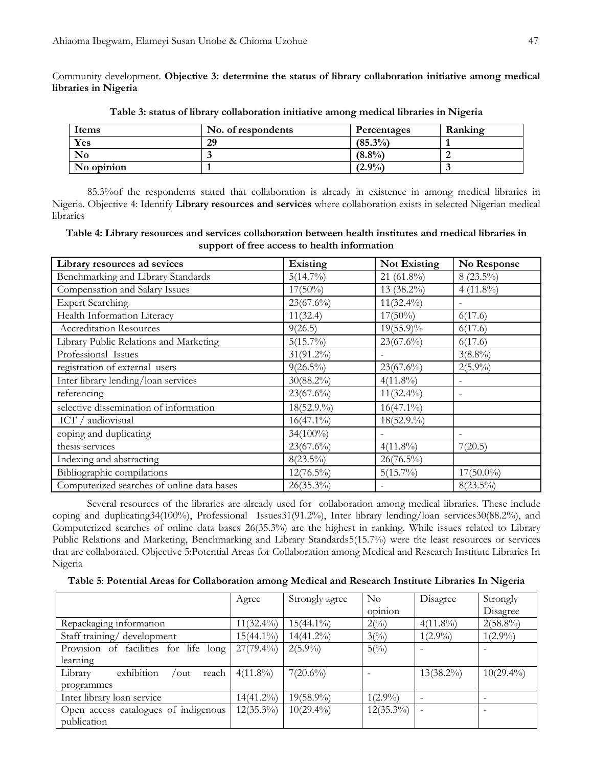Community development. **Objective 3: determine the status of library collaboration initiative among medical libraries in Nigeria**

| Items      | No. of respondents | Percentages | Ranking |
|------------|--------------------|-------------|---------|
| Yes        | 29                 | $(85.3\%)$  |         |
| $\bf No$   |                    | $(8.8\%)$   |         |
| No opinion |                    | $(2.9\%)$   |         |

**Table 3: status of library collaboration initiative among medical libraries in Nigeria**

85.3%of the respondents stated that collaboration is already in existence in among medical libraries in Nigeria. Objective 4: Identify **Library resources and services** where collaboration exists in selected Nigerian medical libraries

| Table 4: Library resources and services collaboration between health institutes and medical libraries in |                                              |  |  |
|----------------------------------------------------------------------------------------------------------|----------------------------------------------|--|--|
|                                                                                                          | support of free access to health information |  |  |

| Library resources ad sevices               | Existing     | Not Existing | No Response  |
|--------------------------------------------|--------------|--------------|--------------|
| Benchmarking and Library Standards         | $5(14.7\%)$  | 21 (61.8%)   | $8(23.5\%)$  |
| Compensation and Salary Issues             | $17(50\%)$   | 13 (38.2%)   | $4(11.8\%)$  |
| <b>Expert Searching</b>                    | $23(67.6\%)$ | $11(32.4\%)$ |              |
| Health Information Literacy                | 11(32.4)     | $17(50\%)$   | 6(17.6)      |
| <b>Accreditation Resources</b>             | 9(26.5)      | $19(55.9)\%$ | 6(17.6)      |
| Library Public Relations and Marketing     | $5(15.7\%)$  | $23(67.6\%)$ | 6(17.6)      |
| Professional Issues                        | $31(91.2\%)$ |              | $3(8.8\%)$   |
| registration of external users             | $9(26.5\%)$  | $23(67.6\%)$ | $2(5.9\%)$   |
| Inter library lending/loan services        | $30(88.2\%)$ | $4(11.8\%)$  |              |
| referencing                                | $23(67.6\%)$ | $11(32.4\%)$ |              |
| selective dissemination of information     | 18(52.9.%)   | $16(47.1\%)$ |              |
| ICT / audiovisual                          | $16(47.1\%)$ | 18(52.9.%)   |              |
| coping and duplicating                     | $34(100\%)$  |              |              |
| thesis services                            | $23(67.6\%)$ | $4(11.8\%)$  | 7(20.5)      |
| Indexing and abstracting                   | $8(23.5\%)$  | $26(76.5\%)$ |              |
| Bibliographic compilations                 | $12(76.5\%)$ | $5(15.7\%)$  | $17(50.0\%)$ |
| Computerized searches of online data bases | $26(35.3\%)$ |              | $8(23.5\%)$  |

Several resources of the libraries are already used for collaboration among medical libraries. These include [coping](http://www.mlanet.org/resources/#libpr) and duplicating34(100%), [Professional Issues3](http://www.mlanet.org/resources/#prof)1(91.2%), Inter library [lending/](http://www.mlanet.org/resources/#salary)loan services30(88.2%), and Computerized searches of online data bases 26(35.3%) are the highest in ranking. While issues related to [Library](http://www.mlanet.org/resources/#libpr)  [Public Relations and Marketing,](http://www.mlanet.org/resources/#libpr) [Benchmarking and Library Standards5](http://www.mlanet.org/resources/#bench)(15.7%) were the least resources or services that are collaborated. Objective 5:Potential Areas for Collaboration among Medical and Research Institute Libraries In Nigeria

**Table 5**: **Potential Areas for Collaboration among Medical and Research Institute Libraries In Nigeria**

|                                                         | Agree        | Strongly agree | $\rm No$<br>$\cdot$ $\cdot$<br>opinion | Disagree     | Strongly<br>Disagree |
|---------------------------------------------------------|--------------|----------------|----------------------------------------|--------------|----------------------|
| Repackaging information                                 | $11(32.4\%)$ | $15(44.1\%)$   | $2(^{0}_{0})$                          | $4(11.8\%)$  | $2(58.8\%)$          |
| Staff training/ development                             | $15(44.1\%)$ | 14(41.2%)      | $3^{(0)}$                              | $1(2.9\%)$   | $1(2.9\%)$           |
| Provision of facilities for life long                   | $27(79.4\%)$ | $2(5.9\%)$     | $5(^{0}/_{0})$                         |              |                      |
| learning                                                |              |                |                                        |              |                      |
| exhibition<br>Library<br>reach<br>$\sqrt{\mathrm{out}}$ | $4(11.8\%)$  | $7(20.6\%)$    |                                        | $13(38.2\%)$ | $10(29.4\%)$         |
| programmes                                              |              |                |                                        |              |                      |
| Inter library loan service                              | 14(41.2%)    | 19(58.9%)      | $1(2.9\%)$                             |              |                      |
| Open access catalogues of indigenous                    | $12(35.3\%)$ | $10(29.4\%)$   | $12(35.3\%)$                           |              |                      |
| publication                                             |              |                |                                        |              |                      |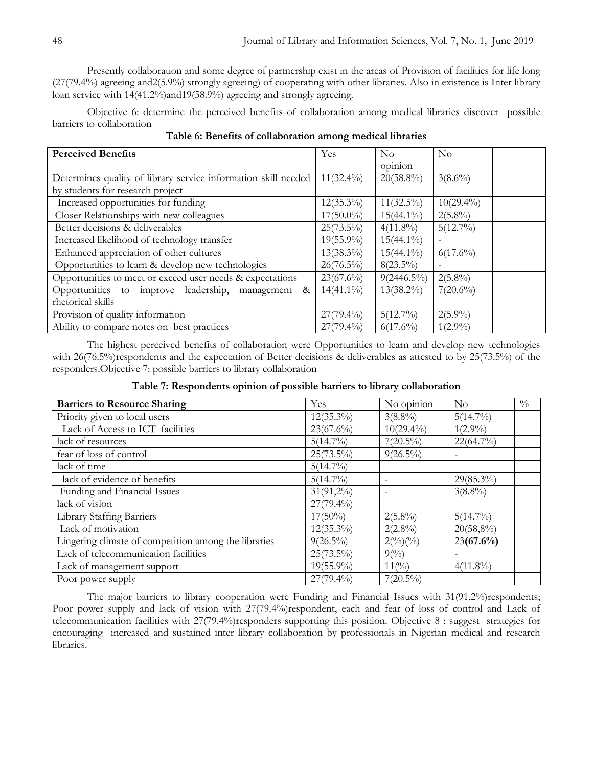Presently collaboration and some degree of partnership exist in the areas of Provision of facilities for life long (27(79.4%) agreeing and2(5.9%) strongly agreeing) of cooperating with other libraries. Also in existence is Inter library loan service with 14(41.2%)and19(58.9%) agreeing and strongly agreeing.

Objective 6: determine the perceived benefits of collaboration among medical libraries discover possible barriers to collaboration

| Table 6: Benefits of collaboration among medical libraries |  |  |  |  |  |  |  |  |
|------------------------------------------------------------|--|--|--|--|--|--|--|--|
|------------------------------------------------------------|--|--|--|--|--|--|--|--|

| <b>Perceived Benefits</b>                                      | Yes          | $\rm No$      | $\rm No$     |
|----------------------------------------------------------------|--------------|---------------|--------------|
|                                                                |              | opinion       |              |
| Determines quality of library service information skill needed | $11(32.4\%)$ | $20(58.8\%)$  | $3(8.6\%)$   |
| by students for research project                               |              |               |              |
| Increased opportunities for funding                            | $12(35.3\%)$ | $11(32.5\%)$  | $10(29.4\%)$ |
| Closer Relationships with new colleagues                       | $17(50.0\%)$ | $15(44.1\%)$  | $2(5.8\%)$   |
| Better decisions & deliverables                                | $25(73.5\%)$ | $4(11.8\%)$   | $5(12.7\%)$  |
| Increased likelihood of technology transfer                    | $19(55.9\%)$ | $15(44.1\%)$  | Ξ.           |
| Enhanced appreciation of other cultures                        | $13(38.3\%)$ | $15(44.1\%)$  | $6(17.6\%)$  |
| Opportunities to learn & develop new technologies              | $26(76.5\%)$ | $8(23.5\%)$   |              |
| Opportunities to meet or exceed user needs & expectations      | $23(67.6\%)$ | $9(2446.5\%)$ | $2(5.8\%)$   |
| Opportunities to improve leadership,<br>management &           | $14(41.1\%)$ | $13(38.2\%)$  | $7(20.6\%)$  |
| rhetorical skills                                              |              |               |              |
| Provision of quality information                               | $27(79.4\%)$ | $5(12.7\%)$   | $2(5.9\%)$   |
| Ability to compare notes on best practices                     | $27(79.4\%)$ | $6(17.6\%)$   | $1(2.9\%)$   |

The highest perceived benefits of collaboration were Opportunities to learn and develop new technologies with 26(76.5%)respondents and the expectation of Better decisions & deliverables as attested to by 25(73.5%) of the responders.Objective 7: possible barriers to library collaboration

| <b>Barriers to Resource Sharing</b>                  | Yes          | No opinion        | $\rm No$     | $\frac{0}{0}$ |
|------------------------------------------------------|--------------|-------------------|--------------|---------------|
| Priority given to local users                        | $12(35.3\%)$ | $3(8.8\%)$        | $5(14.7\%)$  |               |
| Lack of Access to ICT facilities                     | $23(67.6\%)$ | $10(29.4\%)$      | $1(2.9\%)$   |               |
| lack of resources                                    | $5(14.7\%)$  | $7(20.5\%)$       | $22(64.7\%)$ |               |
| fear of loss of control                              | $25(73.5\%)$ | $9(26.5\%)$       |              |               |
| lack of time                                         | $5(14.7\%)$  |                   |              |               |
| lack of evidence of benefits                         | $5(14.7\%)$  |                   | $29(85.3\%)$ |               |
| Funding and Financial Issues                         | $31(91,2\%)$ |                   | $3(8.8\%)$   |               |
| lack of vision                                       | $27(79.4\%)$ |                   |              |               |
| Library Staffing Barriers                            | $17(50\%)$   | $2(5.8\%)$        | $5(14.7\%)$  |               |
| Lack of motivation                                   | $12(35.3\%)$ | $2(2.8\%)$        | $20(58,8\%)$ |               |
| Lingering climate of competition among the libraries | $9(26.5\%)$  | $2($ % $)($ % $)$ | $23(67.6\%)$ |               |
| Lack of telecommunication facilities                 | $25(73.5\%)$ | $9(^{0}_{0})$     |              |               |
| Lack of management support                           | $19(55.9\%)$ | $11(^{0}_{0})$    | $4(11.8\%)$  |               |
| Poor power supply                                    | $27(79.4\%)$ | $7(20.5\%)$       |              |               |

## **Table 7: Respondents opinion of possible barriers to library collaboration**

The major barriers to library cooperation were Funding and Financial Issues with 31(91.2%)respondents; Poor power supply and lack of vision with 27(79.4%)respondent, each and fear of loss of control and Lack of telecommunication facilities with 27(79.4%)responders supporting this position. Objective 8 : suggest strategies for encouraging increased and sustained inter library collaboration by professionals in Nigerian medical and research libraries.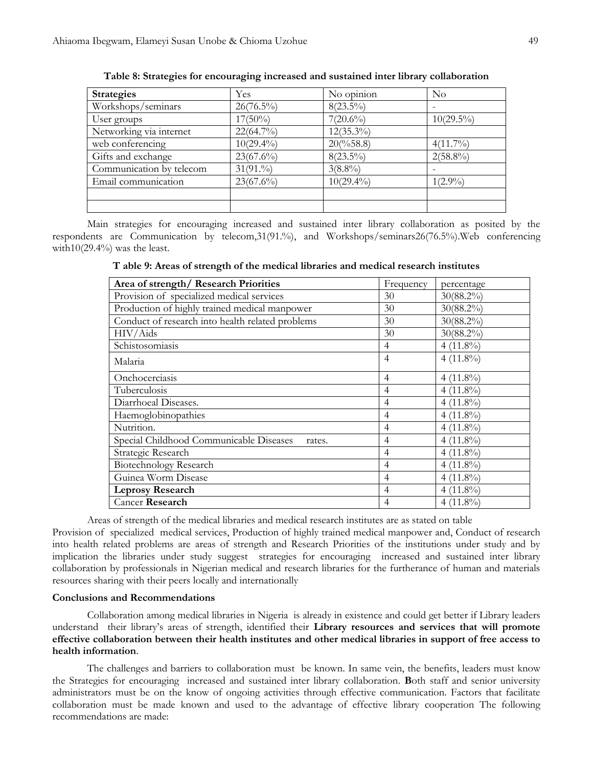| <b>Strategies</b>        | Yes          | No opinion          | $\rm No$     |
|--------------------------|--------------|---------------------|--------------|
| Workshops/seminars       | $26(76.5\%)$ | $8(23.5\%)$         |              |
| User groups              | $17(50\%)$   | $7(20.6\%)$         | $10(29.5\%)$ |
| Networking via internet  | $22(64.7\%)$ | $12(35.3\%)$        |              |
| web conferencing         | $10(29.4\%)$ | $20\frac{658.8}{ }$ | $4(11.7\%)$  |
| Gifts and exchange       | $23(67.6\%)$ | $8(23.5\%)$         | $2(58.8\%)$  |
| Communication by telecom | 31(91.%)     | $3(8.8\%)$          |              |
| Email communication      | $23(67.6\%)$ | $10(29.4\%)$        | $1(2.9\%)$   |
|                          |              |                     |              |
|                          |              |                     |              |

**Table 8: Strategies for encouraging increased and sustained inter library collaboration**

Main strategies for encouraging increased and sustained inter library collaboration as posited by the respondents are Communication by telecom,31(91.%), and Workshops/seminars26(76.5%).Web conferencing with $10(29.4\%)$  was the least.

| Area of strength/ Research Priorities             | Frequency      | percentage   |
|---------------------------------------------------|----------------|--------------|
| Provision of specialized medical services         | 30             | $30(88.2\%)$ |
| Production of highly trained medical manpower     | 30             | $30(88.2\%)$ |
| Conduct of research into health related problems  | 30             | $30(88.2\%)$ |
| HIV/Aids                                          | 30             | $30(88.2\%)$ |
| Schistosomiasis                                   | $\overline{4}$ | $4(11.8\%)$  |
| Malaria                                           | $\overline{4}$ | $4(11.8\%)$  |
| Onchocerciasis                                    | 4              | $4(11.8\%)$  |
| Tuberculosis                                      | 4              | $4(11.8\%)$  |
| Diarrhoeal Diseases.                              | 4              | $4(11.8\%)$  |
| Haemoglobinopathies                               | 4              | $4(11.8\%)$  |
| Nutrition.                                        | 4              | $4(11.8\%)$  |
| Special Childhood Communicable Diseases<br>rates. | 4              | $4(11.8\%)$  |
| Strategic Research                                | 4              | $4(11.8\%)$  |
| Biotechnology Research                            | 4              | $4(11.8\%)$  |
| Guinea Worm Disease                               | 4              | $4(11.8\%)$  |
| <b>Leprosy Research</b>                           | 4              | $4(11.8\%)$  |
| Cancer Research                                   | 4              | $4(11.8\%)$  |

**T able 9: Areas of strength of the medical libraries and medical research institutes**

Areas of strength of the medical libraries and medical research institutes are as stated on table

Provision of specialized medical services, Production of highly trained medical manpower and, Conduct of research into health related problems are areas of strength and Research Priorities of the institutions under study and by implication the libraries under study suggest strategies for encouraging increased and sustained inter library collaboration by professionals in Nigerian medical and research libraries for the furtherance of human and materials resources sharing with their peers locally and internationally

### **Conclusions and Recommendations**

Collaboration among medical libraries in Nigeria is already in existence and could get better if Library leaders understand their library's areas of strength, identified their **Library resources and services that will promote effective collaboration between their health institutes and other medical libraries in support of free access to health information**.

The challenges and barriers to collaboration must be known. In same vein, the benefits, leaders must know the Strategies for encouraging increased and sustained inter library collaboration. **B**oth staff and senior university administrators must be on the know of ongoing activities through effective communication. Factors that facilitate collaboration must be made known and used to the advantage of effective library cooperation The following recommendations are made: